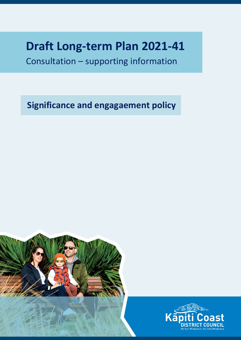# **Draft Long-term Plan 2021-41**

Consultation – supporting information

**Significance and engagaement policy**



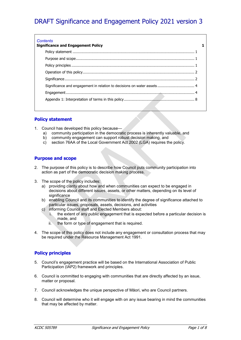# <span id="page-1-0"></span>DRAFT Significance and Engagement Policy 2021 version 3

| Significance and engagement in relation to decisions on water assets 4 |  |
|------------------------------------------------------------------------|--|
|                                                                        |  |
|                                                                        |  |
|                                                                        |  |

# <span id="page-1-1"></span>**Policy statement**

- 1. Council has developed this policy because
	- a) community participation in the democratic process is inherently valuable, and
	- b) community engagement can support robust decision making, and c) section 76AA of the Local Government Act 2002 (LGA) requires the
	- section 76AA of the Local Government Act 2002 (LGA) requires the policy.

# <span id="page-1-2"></span>**Purpose and scope**

- 2. The purpose of this policy is to describe how Council puts community participation into action as part of the democratic decision making process.
- 3. The scope of the policy includes:
	- a) providing clarity about how and when communities can expect to be engaged in decisions about different issues, assets, or other matters, depending on its level of significance
	- b) enabling Council and its communities to identify the degree of significance attached to particular issues, proposals, assets, decisions, and activities
	- c) informing Council staff and Elected Members about:
		- i. the extent of any public engagement that is expected before a particular decision is made, and
		- ii. the form or type of engagement that is required.
- 4. The scope of this policy does not include any engagement or consultation process that may be required under the Resource Management Act 1991.

# <span id="page-1-3"></span>**Policy principles**

- 5. Council's engagement practice will be based on the International Association of Public Participation (IAP2) framework and principles.
- 6. Council is committed to engaging with communities that are directly affected by an issue, matter or proposal.
- 7. Council acknowledges the unique perspective of Māori, who are Council partners.
- 8. Council will determine who it will engage with on any issue bearing in mind the communities that may be affected by matter.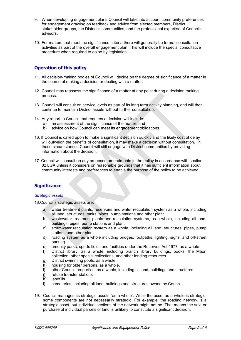- 9. When developing engagement plans Council will take into account community preferences for engagement drawing on feedback and advice from elected members, District stakeholder groups, the District's communities, and the professional expertise of Council's advisors.
- 10. For matters that meet the significance criteria there will generally be formal consultation activities as part of the overall engagement plan. This will include the special consultative procedure when required to do so by legislation.

# <span id="page-2-0"></span>**Operation of this policy**

- 11. All decision-making bodies of Council will decide on the degree of significance of a matter in the course of making a decision or dealing with a matter.
- 12. Council may reassess the significance of a matter at any point during a decision making process.
- 13. Council will consult on service levels as part of its long term activity planning, and will then continue to maintain District assets without further consultation.
- 14. Any report to Council that requires a decision will include:
	- a) an assessment of the significance of the matter; and
	- b) advice on how Council can meet its engagement obligations.
- 16. If Council is called upon to make a significant decision quickly and the likely cost of delay will outweigh the benefits of consultation, it may make a decision without consultation. In these circumstances Council will still engage with District communities by providing information about the decision.
- 17. Council will consult on any proposed amendments to the policy in accordance with [section](http://www.legislation.govt.nz/act/public/2002/0084/latest/link.aspx?search=ts_act%40bill%40regulation%40deemedreg_local+government_resel_25_a&p=1&id=DLM172327)  [82](http://www.legislation.govt.nz/act/public/2002/0084/latest/link.aspx?search=ts_act%40bill%40regulation%40deemedreg_local+government_resel_25_a&p=1&id=DLM172327) LGA unless it considers on reasonable grounds that it has sufficient information about community interests and preferences to enable the purpose of the policy to be achieved.

# <span id="page-2-1"></span>**Significance**

#### *Strategic assets*

18.Council's strategic assets are:

- a) water treatment plants, reservoirs and water reticulation system as a whole, including all land, structures, tanks, pipes, pump stations and other plant.
- b) wastewater treatment plants and reticulation systems, as a whole, including all land, buildings, pipes, pump stations and plant
- c) stormwater reticulation system as a whole, including all land, structures, pipes, pump stations and other plant
- d) roading system as a whole including bridges, footpaths, lighting, signs, and off-street parking
- e) amenity parks, sports fields and facilities under the Reserves Act 1977, as a whole
- f) District library, as a whole, including branch library buildings, books, the Māori collection, other special collections, and other lending resources
- g) District swimming pools, as a whole
- h) housing for older persons, as a whole.
- i) other Council properties, as a whole, including all land, buildings and structures
- j) refuse transfer stations
- k) landfills
- l) cemeteries, including all land, buildings and structures owned by Council.
- 19. Council manages its strategic assets "as a whole". While the asset as a whole is strategic, some components are not necessarily strategic. For example, the roading network is a strategic asset, but individual sections of the network might not be. That means the sale or purchase of individual parcels of land is unlikely to constitute a significant decision.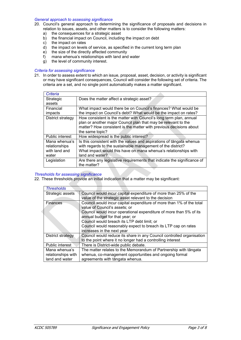#### *General approach to assessing significance*

- 20. Council's general approach to determining the significance of proposals and decisions in relation to issues, assets, and other matters is to consider the following matters:
	- a) the consequences for a strategic asset<br>b) the financial impact on Council, includin
	- the financial impact on Council, including the impact on debt
	- c) the impact on rates<br>d) the impact on levels
	- $\overrightarrow{d}$  the impact on levels of service, as specified in the current long term plan<br>e) the size of the directly affected community
	- the size of the directly affected community
	- f) mana whenua's relationships with land and water
	- g) the level of community interest.

#### *Criteria for assessing significance*

21. In order to assess extent to which an issue, proposal, asset, decision, or activity is significant or may have significant consequences, Council will consider the following set of criteria. The criteria are a set, and no single point automatically makes a matter significant.

| Criteria          |                                                                          |  |
|-------------------|--------------------------------------------------------------------------|--|
| Strategic         | Does the matter affect a strategic asset?                                |  |
| assets            |                                                                          |  |
| Financial         | What impact would there be on Council's finances? What would be          |  |
| impacts           | the impact on Council's debt? What would be the impact on rates?         |  |
| District strategy | How consistent is the matter with Council's long term plan, annual       |  |
|                   | plan or another major Council plan that may be relevant to the           |  |
|                   | matter? How consistent is the matter with previous decisions about       |  |
|                   | the same topic?                                                          |  |
| Public interest   | How widespread is the public interest?                                   |  |
| Mana whenua's     | Is this consistent with the values and aspirations of tangata whenua     |  |
| relationships     | with regards to the sustainable management of the district?              |  |
| with land and     | What impact would this have on mana whenua's relationships with          |  |
| water             | land and water?                                                          |  |
| Legislation       | Are there any legislative requirements that indicate the significance of |  |
|                   | the matter?                                                              |  |

#### *Thresholds for assessing significance*

22. These thresholds provide an initial indication that a matter may be significant:

| <b>Thresholds</b>  |                                                                       |  |  |
|--------------------|-----------------------------------------------------------------------|--|--|
| Strategic assets   | Council would incur capital expenditure of more than 25% of the       |  |  |
|                    | value of the strategic asset relevant to the decision                 |  |  |
| Finances           | Council would incur capital expenditure of more than 1% of the total  |  |  |
|                    | value of Council's assets; or                                         |  |  |
|                    | Council would incur operational expenditure of more than 5% of its    |  |  |
|                    | annual budget for that year; or                                       |  |  |
|                    | Council would breach its LTP debt limit; or                           |  |  |
|                    | Council would reasonably expect to breach its LTP cap on rates        |  |  |
|                    | increases in the next year                                            |  |  |
| District strategy  | Council would reduce its share in any Council controlled organisation |  |  |
|                    | to the point where it no longer had a controlling interest            |  |  |
| Public interest    | There is District-wide public debate.                                 |  |  |
| Mana whenua's      | The matter relates to the Memorandum of Partnership with tāngata      |  |  |
| relationships with | whenua, co-management opportunities and ongoing formal                |  |  |
| land and water     | agreements with tāngata whenua.                                       |  |  |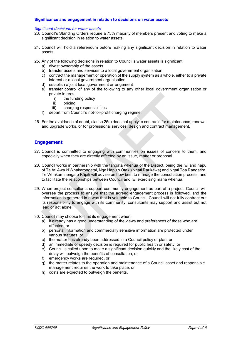#### <span id="page-4-0"></span>**Significance and engagement in relation to decisions on water assets**

#### *Significant decisions for water assets*

- 23. Council's Standing Orders require a 75% majority of members present and voting to make a significant decision in relation to water assets.
- 24. Council will hold a referendum before making any significant decision in relation to water assets.
- 25. Any of the following decisions in relation to Council's water assets is significant:
	- a) divest ownership of the assets
	- b) transfer assets and services to a local government organisation
	- c) contract the management or operation of the supply system as a whole, either to a private interest or a local government organisation
	- d) establish a joint local government arrangement
	- e) transfer control of any of the following to any other local government organisation or private interest:
		- i) the funding policy<br>ii) pricing
		- pricing
		- iii) charging responsibilities
	- f) depart from Council's not-for-profit charging regime.
- 26. For the avoidance of doubt, clause 25c) does not apply to contracts for maintenance, renewal and upgrade works, or for professional services, design and contract management.

## <span id="page-4-1"></span>**Engagement**

- 27. Council is committed to engaging with communities on issues of concern to them, and especially when they are directly affected by an issue, matter or proposal.
- 28. Council works in partnership with the tāngata whenua of the District, being the iwi and hapū of Te Āti Awa ki Whakarongatai, Ngā Hapū o Otaki (Ngāti Raukawa) and Ngāti Toa Rangatira. Te Whakaminenga o Kāpiti will advise on how best to manage the consultation process, and to facilitate the relationships between Council and iwi exercising mana whenua.
- 29. When project consultants support community engagement as part of a project, Council will oversee the process to ensure that the agreed engagement process is followed, and the information is gathered in a way that is valuable to Council. Council will not fully contract out its responsibility to engage with its community; consultants may support and assist but not lead or act alone.
- 30. Council may choose to limit its engagement when:
	- a) it already has a good understanding of the views and preferences of those who are affected, or
	- b) personal information and commercially sensitive information are protected under various statutes, or
	- c) the matter has already been addressed in a Council policy or plan, or
	- d) an immediate or speedy decision is required for public health or safety, or
	- e) Council is called upon to make a significant decision quickly and the likely cost of the delay will outweigh the benefits of consultation, or
	- f) emergency works are required, or
	- g) the matter relates to the operation and maintenance of a Council asset and responsible management requires the work to take place, or
	- h) costs are expected to outweigh the benefits.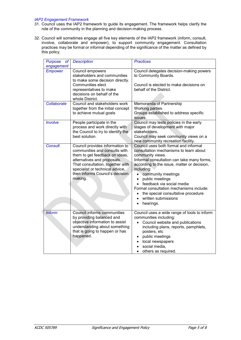#### *IAP2 Engagement Framework*

- 31. Council uses the IAP2 framework to guide its engagement. The framework helps clarify the role of the community in the planning and decision-making process.
- 32. Council will sometimes engage all five key elements of the IAP2 framework (inform, consult, involve, collaborate and empower), to support community engagement. Consultation practices may be formal or informal depending of the significance of the matter as defined by this policy.

| of<br><b>Purpose</b>         | <b>Description</b>                                                                                                                                                                                                                                     | <b>Practices</b>                                                                                                                                                                                                                                                                                                                                                                                                                                 |
|------------------------------|--------------------------------------------------------------------------------------------------------------------------------------------------------------------------------------------------------------------------------------------------------|--------------------------------------------------------------------------------------------------------------------------------------------------------------------------------------------------------------------------------------------------------------------------------------------------------------------------------------------------------------------------------------------------------------------------------------------------|
| engagement<br><b>Empower</b> | Council empowers<br>stakeholders and communities<br>to make some decision directly.<br>Communities elect<br>representatives to make<br>decisions on behalf of the<br>whole District.                                                                   | Council delegates decision-making powers<br>to Community Boards.<br>Council is elected to make decisions on<br>behalf of the District.                                                                                                                                                                                                                                                                                                           |
| Collaborate                  | Council and stakeholders work<br>together from the initial concept<br>to achieve mutual goals                                                                                                                                                          | Memoranda of Partnership<br><b>Working parties</b><br>Groups established to address specific<br>issues.                                                                                                                                                                                                                                                                                                                                          |
| Involve                      | People participate in the<br>process and work directly with<br>the Council to try to identify the<br>best solution.                                                                                                                                    | Council may tests policies in the early<br>stages of development with major<br>stakeholders.<br>Council may seek community views on a<br>new community recreation facility.                                                                                                                                                                                                                                                                      |
| <b>Consult</b>               | Council provides information to<br>communities and consults with<br>them to get feedback on ideas,<br>alternatives and proposals.<br>That consultation, together with<br>specialist or technical advice,<br>then informs Council's decision<br>making. | Council uses both formal and informal<br>consultation mechanisms to learn about<br>community views.<br>Informal consultation can take many forms,<br>according to the issue, matter or decision,<br>including:<br>community meetings<br>public meetings<br>feedback via social media<br>Formal consultation mechanisms include:<br>the special consultative procedure<br>$\bullet$<br>written submissions<br>$\bullet$<br>hearings.<br>$\bullet$ |
| <b>Inform</b>                | Council informs communities<br>by providing balanced and<br>objective information to assist<br>understanding about something<br>that is going to happen or has<br>happened.                                                                            | Council uses a wide range of tools to inform<br>communities including:<br>Council website and publications<br>including plans, reports, pamphlets,<br>posters, etc<br>public meetings<br>local newspapers<br>$\bullet$<br>social media,<br>others as required.<br>$\bullet$                                                                                                                                                                      |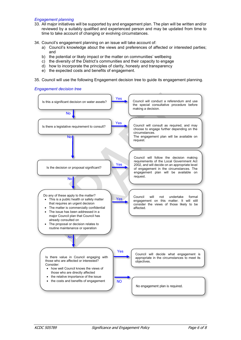- 33. All major initiatives will be supported by and engagement plan. The plan will be written and/or reviewed by a suitably qualified and experienced person and may be updated from time to time to take account of changing or evolving circumstances.
- 34. Council's engagement planning on an issue will take account of:
	- a) Council's knowledge about the views and preferences of affected or interested parties; and
	- b) the potential or likely impact or the matter on communities' wellbeing
	- c) the diversity of the District's communities and their capacity to engage
	- d) how to incorporate the principles of clarity, honesty and transparency
	- e) the expected costs and benefits of engagement.
- 35. Council will use the following Engagement decision tree to guide its engagement planning.

*Engagement decision tree*

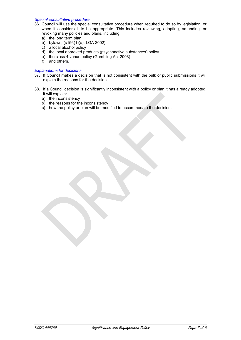#### *Special consultative procedure*

- 36. Council will use the special consultative procedure when required to do so by legislation, or when it considers it to be appropriate. This includes reviewing, adopting, amending, or revoking many policies and plans, including:
	- a) the long term plan
	- b) bylaws, (s156(1)(a), LGA 2002)
	- c) a local alcohol policy
	- d) the local approved products (psychoactive substances) policy
	- e) the class 4 venue policy (Gambling Act 2003)
	- f) and others.

### *Explanations for decisions*

- 37. If Council makes a decision that is not consistent with the bulk of public submissions it will explain the reasons for the decision.
- 38. If a Council decision is significantly inconsistent with a policy or plan it has already adopted, it will explain:
	- a) the inconsistency
	- b) the reasons for the inconsistency
	- c) how the policy or plan will be modified to accommodate the decision.